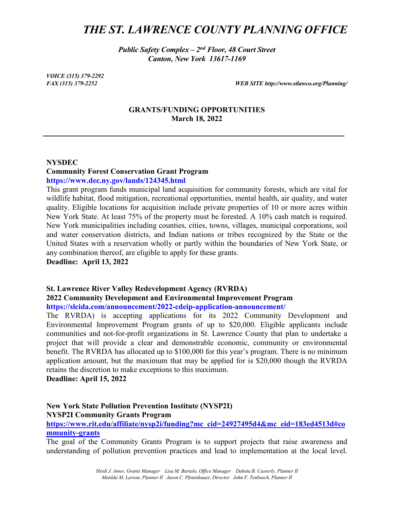# *THE ST. LAWRENCE COUNTY PLANNING OFFICE*

*Public Safety Complex – 2nd Floor, 48 Court Street Canton, New York 13617-1169*

*VOICE (315) 379-2292*

*FAX (315) 379-2252 WEB SITE http://www.stlawco.org/Planning/*

#### **GRANTS/FUNDING OPPORTUNITIES March 18, 2022**

#### **NYSDEC**

## **Community Forest Conservation Grant Program**

#### **https://www.dec.ny.gov/lands/124345.html**

This grant program funds municipal land acquisition for community forests, which are vital for wildlife habitat, flood mitigation, recreational opportunities, mental health, air quality, and water quality. Eligible locations for acquisition include private properties of 10 or more acres within New York State. At least 75% of the property must be forested. A 10% cash match is required. New York municipalities including counties, cities, towns, villages, municipal corporations, soil and water conservation districts, and Indian nations or tribes recognized by the State or the United States with a reservation wholly or partly within the boundaries of New York State, or any combination thereof, are eligible to apply for these grants.

**Deadline: April 13, 2022** 

## **St. Lawrence River Valley Redevelopment Agency (RVRDA) 2022 Community Development and Environmental Improvement Program https://slcida.com/announcement/2022-cdeip-application-announcement/**

The RVRDA) is accepting applications for its 2022 Community Development and Environmental Improvement Program grants of up to \$20,000. Eligible applicants include communities and not-for-profit organizations in St. Lawrence County that plan to undertake a project that will provide a clear and demonstrable economic, community or environmental benefit. The RVRDA has allocated up to \$100,000 for this year's program. There is no minimum application amount, but the maximum that may be applied for is \$20,000 though the RVRDA retains the discretion to make exceptions to this maximum.

**Deadline: April 15, 2022** 

## **New York State Pollution Prevention Institute (NYSP2I) NYSP2I Community Grants Program**

**[https://www.rit.edu/affiliate/nysp2i/funding?mc\\_cid=24927495d4&mc\\_eid=183ed4513d#co](https://www.rit.edu/affiliate/nysp2i/funding?mc_cid=24927495d4&mc_eid=183ed4513d#community-grants) [mmunity-grants](https://www.rit.edu/affiliate/nysp2i/funding?mc_cid=24927495d4&mc_eid=183ed4513d#community-grants)**

The goal of the Community Grants Program is to support projects that raise awareness and understanding of pollution prevention practices and lead to implementation at the local level.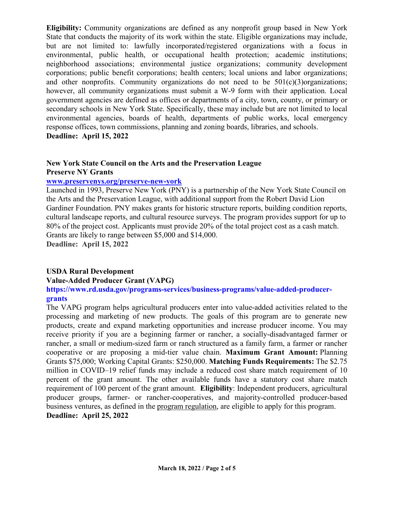**Eligibility:** Community organizations are defined as any nonprofit group based in New York State that conducts the majority of its work within the state. Eligible organizations may include, but are not limited to: lawfully incorporated/registered organizations with a focus in environmental, public health, or occupational health protection; academic institutions; neighborhood associations; environmental justice organizations; community development corporations; public benefit corporations; health centers; local unions and labor organizations; and other nonprofits. Community organizations do not need to be  $501(c)(3)$ organizations; however, all community organizations must submit a W-9 form with their application. Local government agencies are defined as offices or departments of a city, town, county, or primary or secondary schools in New York State. Specifically, these may include but are not limited to local environmental agencies, boards of health, departments of public works, local emergency response offices, town commissions, planning and zoning boards, libraries, and schools. **Deadline: April 15, 2022** 

# **New York State Council on the Arts and the Preservation League**

**Preserve NY Grants** 

## **[www.preservenys.org/preserve-new-york](http://www.preservenys.org/preserve-new-york)**

Launched in 1993, Preserve New York (PNY) is a partnership of the New York State Council on the Arts and the Preservation League, with additional support from the Robert David Lion Gardiner Foundation. PNY makes grants for historic structure reports, building condition reports, cultural landscape reports, and cultural resource surveys. The program provides support for up to 80% of the project cost. Applicants must provide 20% of the total project cost as a cash match. Grants are likely to range between \$5,000 and \$14,000.

**Deadline: April 15, 2022** 

## **USDA Rural Development**

## **Value-Added Producer Grant (VAPG)**

**https://www.rd.usda.gov/programs-services/business-programs/value-added-producergrants** 

The VAPG program helps agricultural producers enter into value-added activities related to the processing and marketing of new products. The goals of this program are to generate new products, create and expand marketing opportunities and increase producer income. You may receive priority if you are a beginning farmer or rancher, a socially-disadvantaged farmer or rancher, a small or medium-sized farm or ranch structured as a family farm, a farmer or rancher cooperative or are proposing a mid-tier value chain. **Maximum Grant Amount:** Planning Grants \$75,000; Working Capital Grants: \$250,000. **Matching Funds Requirements:** The \$2.75 million in COVID–19 relief funds may include a reduced cost share match requirement of 10 percent of the grant amount. The other available funds have a statutory cost share match requirement of 100 percent of the grant amount. **Eligibility**: Independent producers, agricultural producer groups, farmer- or rancher-cooperatives, and majority-controlled producer-based business ventures, as defined in the [program regulation,](http://www.federalregister.gov/documents/2015/05/08/2015-10441/value-added-producer-grant-program) are eligible to apply for this program. **Deadline: April 25, 2022**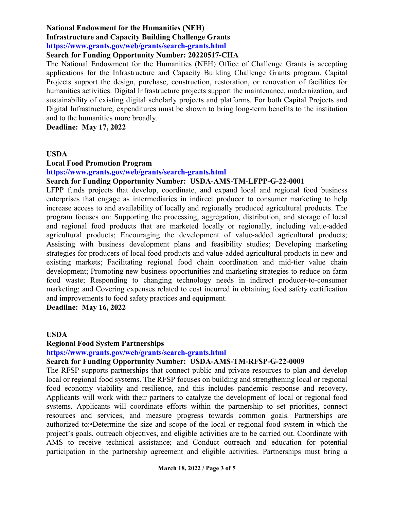#### **National Endowment for the Humanities (NEH)**

## **Infrastructure and Capacity Building Challenge Grants**

**https://www.grants.gov/web/grants/search-grants.html** 

## **Search for Funding Opportunity Number: 20220517-CHA**

The National Endowment for the Humanities (NEH) Office of Challenge Grants is accepting applications for the Infrastructure and Capacity Building Challenge Grants program. Capital Projects support the design, purchase, construction, restoration, or renovation of facilities for humanities activities. Digital Infrastructure projects support the maintenance, modernization, and sustainability of existing digital scholarly projects and platforms. For both Capital Projects and Digital Infrastructure, expenditures must be shown to bring long-term benefits to the institution and to the humanities more broadly.

**Deadline: May 17, 2022** 

#### **USDA**

#### **Local Food Promotion Program**

**https://www.grants.gov/web/grants/search-grants.html** 

#### **Search for Funding Opportunity Number: USDA-AMS-TM-LFPP-G-22-0001**

LFPP funds projects that develop, coordinate, and expand local and regional food business enterprises that engage as intermediaries in indirect producer to consumer marketing to help increase access to and availability of locally and regionally produced agricultural products. The program focuses on: Supporting the processing, aggregation, distribution, and storage of local and regional food products that are marketed locally or regionally, including value-added agricultural products; Encouraging the development of value-added agricultural products; Assisting with business development plans and feasibility studies; Developing marketing strategies for producers of local food products and value-added agricultural products in new and existing markets; Facilitating regional food chain coordination and mid-tier value chain development; Promoting new business opportunities and marketing strategies to reduce on-farm food waste; Responding to changing technology needs in indirect producer-to-consumer marketing; and Covering expenses related to cost incurred in obtaining food safety certification and improvements to food safety practices and equipment.

**Deadline: May 16, 2022** 

#### **USDA**

### **Regional Food System Partnerships**

**https://www.grants.gov/web/grants/search-grants.html** 

## **Search for Funding Opportunity Number: USDA-AMS-TM-RFSP-G-22-0009**

The RFSP supports partnerships that connect public and private resources to plan and develop local or regional food systems. The RFSP focuses on building and strengthening local or regional food economy viability and resilience, and this includes pandemic response and recovery. Applicants will work with their partners to catalyze the development of local or regional food systems. Applicants will coordinate efforts within the partnership to set priorities, connect resources and services, and measure progress towards common goals. Partnerships are authorized to:•Determine the size and scope of the local or regional food system in which the project's goals, outreach objectives, and eligible activities are to be carried out. Coordinate with AMS to receive technical assistance; and Conduct outreach and education for potential participation in the partnership agreement and eligible activities. Partnerships must bring a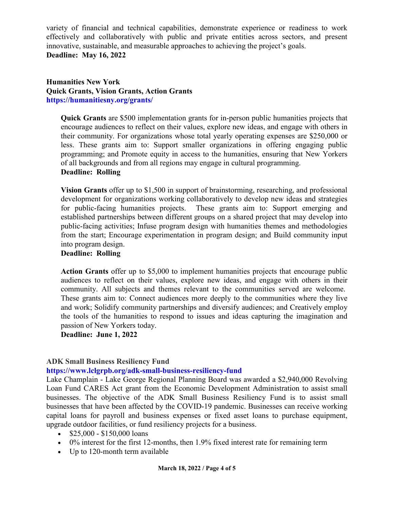variety of financial and technical capabilities, demonstrate experience or readiness to work effectively and collaboratively with public and private entities across sectors, and present innovative, sustainable, and measurable approaches to achieving the project's goals. **Deadline: May 16, 2022** 

**Humanities New York Quick Grants, Vision Grants, Action Grants https://humanitiesny.org/grants/** 

**Quick Grants** are \$500 implementation grants for in-person public humanities projects that encourage audiences to reflect on their values, explore new ideas, and engage with others in their community. For organizations whose total yearly operating expenses are \$250,000 or less. These grants aim to: Support smaller organizations in offering engaging public programming; and Promote equity in access to the humanities, ensuring that New Yorkers of all backgrounds and from all regions may engage in cultural programming. **Deadline: Rolling**

**Vision Grants** offer up to \$1,500 in support of brainstorming, researching, and professional development for organizations working collaboratively to develop new ideas and strategies for public-facing humanities projects. These grants aim to: Support emerging and established partnerships between different groups on a shared project that may develop into public-facing activities; Infuse program design with humanities themes and methodologies from the start; Encourage experimentation in program design; and Build community input into program design.

## **Deadline: Rolling**

**Action Grants** offer up to \$5,000 to implement humanities projects that encourage public audiences to reflect on their values, explore new ideas, and engage with others in their community. All subjects and themes relevant to the communities served are welcome. These grants aim to: Connect audiences more deeply to the communities where they live and work; Solidify community partnerships and diversify audiences; and Creatively employ the tools of the humanities to respond to issues and ideas capturing the imagination and passion of New Yorkers today.

**Deadline: June 1, 2022** 

## **ADK Small Business Resiliency Fund**

### **https://www.lclgrpb.org/adk-small-business-resiliency-fund**

Lake Champlain - Lake George Regional Planning Board was awarded a \$2,940,000 Revolving Loan Fund CARES Act grant from the Economic Development Administration to assist small businesses. The objective of the ADK Small Business Resiliency Fund is to assist small businesses that have been affected by the COVID-19 pandemic. Businesses can receive working capital loans for payroll and business expenses or fixed asset loans to purchase equipment, upgrade outdoor facilities, or fund resiliency projects for a business.

- $$25,000 $150,000$  loans
- 0% interest for the first 12-months, then 1.9% fixed interest rate for remaining term
- Up to 120-month term available